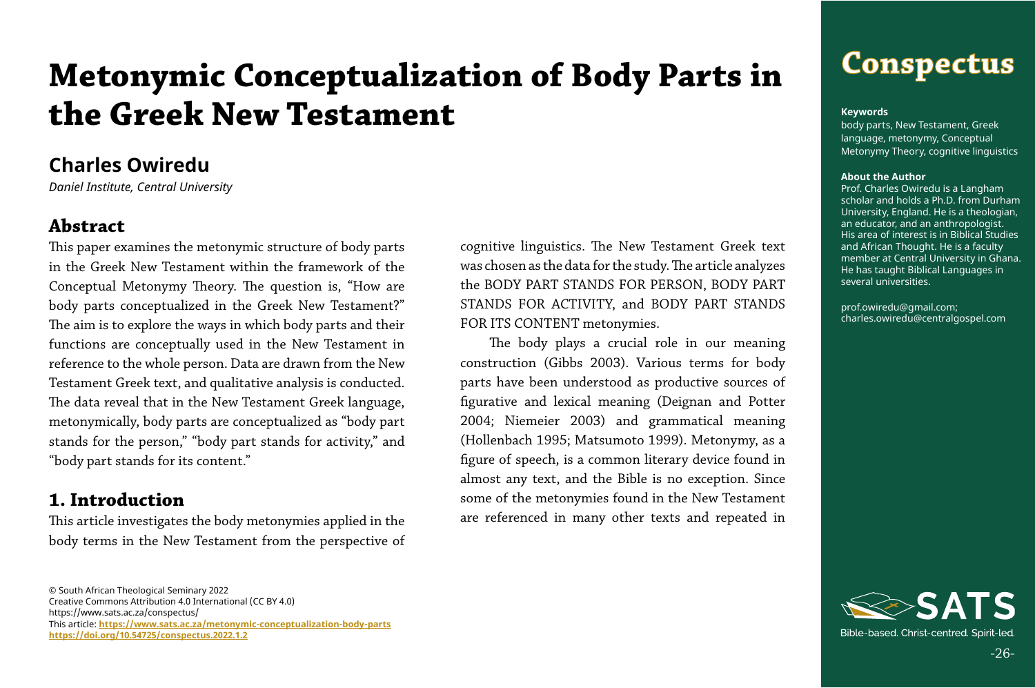## **Conspectus**

-26-

© South African Theological Seminary 2022 Creative Commons Attribution 4.0 International (CC BY 4.0) https://www.sats.ac.za/conspectus/ This article: **[https://www.sats.ac.za/](https://www.sats.ac.za/metonymic-conceptualization-body-parts)metonymic-conceptualization-body-parts <https://doi.org/10.54725/conspectus.2022.1.2>**

# **Metonymic Conceptualization of Body Parts in the Greek New Testament**

cognitive linguistics. The New Testament Greek text was chosen as the data for the study. The article analyzes the BODY PART STANDS FOR PERSON, BODY PART STANDS FOR ACTIVITY, and BODY PART STANDS FOR ITS CONTENT metonymies.

The body plays a crucial role in our meaning construction (Gibbs 2003). Various terms for body parts have been understood as productive sources of figurative and lexical meaning (Deignan and Potter 2004; Niemeier 2003) and grammatical meaning (Hollenbach 1995; Matsumoto 1999). Metonymy, as a figure of speech, is a common literary device found in almost any text, and the Bible is no exception. Since some of the metonymies found in the New Testament are referenced in many other texts and repeated in

## **Charles Owiredu**

*Daniel Institute, Central University* 

#### **Abstract**

This paper examines the metonymic structure of body parts in the Greek New Testament within the framework of the Conceptual Metonymy Theory. The question is, "How are body parts conceptualized in the Greek New Testament?" The aim is to explore the ways in which body parts and their functions are conceptually used in the New Testament in reference to the whole person. Data are drawn from the New Testament Greek text, and qualitative analysis is conducted. The data reveal that in the New Testament Greek language, metonymically, body parts are conceptualized as "body part stands for the person," "body part stands for activity," and "body part stands for its content."

#### **1. Introduction**

This article investigates the body metonymies applied in the body terms in the New Testament from the perspective of

#### **Keywords**

body parts, New Testament, Greek language, metonymy, Conceptual Metonymy Theory, cognitive linguistics

#### **About the Author**

Prof. Charles Owiredu is a Langham scholar and holds a Ph.D. from Durham University, England. He is a theologian, an educator, and an anthropologist. His area of interest is in Biblical Studies and African Thought. He is a faculty member at Central University in Ghana. He has taught Biblical Languages in several universities.

prof.owiredu@gmail.com; charles.owiredu@centralgospel.com

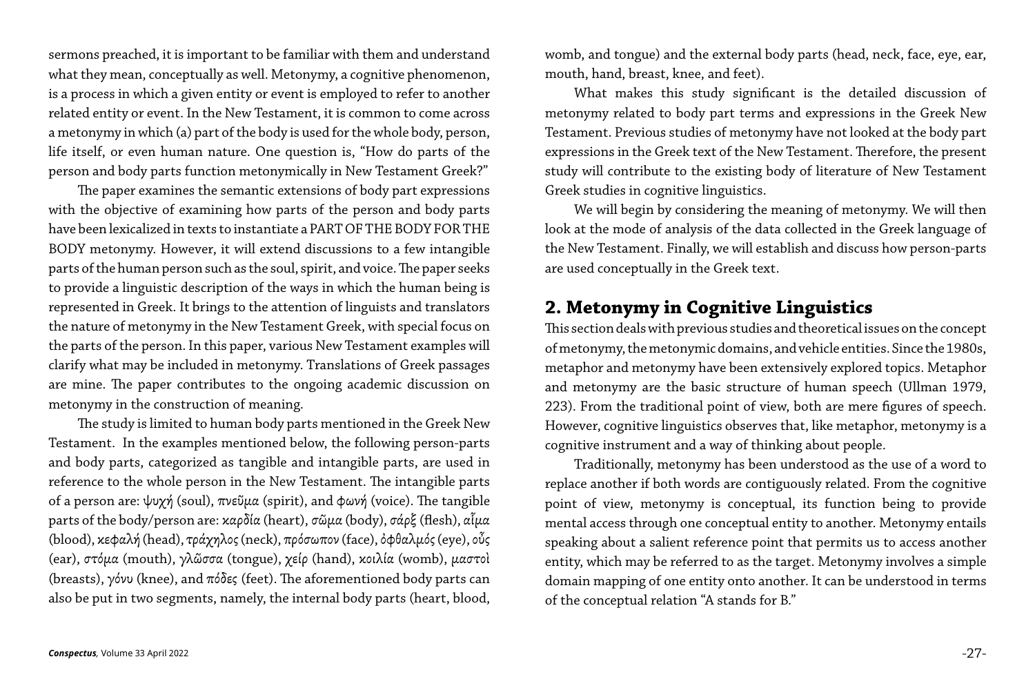sermons preached, it is important to be familiar with them and understand what they mean, conceptually as well. Metonymy, a cognitive phenomenon, is a process in which a given entity or event is employed to refer to another related entity or event. In the New Testament, it is common to come across a metonymy in which (a) part of the body is used for the whole body, person, life itself, or even human nature. One question is, "How do parts of the person and body parts function metonymically in New Testament Greek?"

The paper examines the semantic extensions of body part expressions with the objective of examining how parts of the person and body parts have been lexicalized in texts to instantiate a PART OF THE BODY FOR THE BODY metonymy. However, it will extend discussions to a few intangible parts of the human person such as the soul, spirit, and voice. The paper seeks to provide a linguistic description of the ways in which the human being is represented in Greek. It brings to the attention of linguists and translators the nature of metonymy in the New Testament Greek, with special focus on the parts of the person. In this paper, various New Testament examples will clarify what may be included in metonymy. Translations of Greek passages are mine. The paper contributes to the ongoing academic discussion on metonymy in the construction of meaning.

The study is limited to human body parts mentioned in the Greek New Testament. In the examples mentioned below, the following person-parts and body parts, categorized as tangible and intangible parts, are used in reference to the whole person in the New Testament. The intangible parts of a person are: ψυχή (soul), πνεῦμα (spirit), and φωνή (voice). The tangible parts of the body/person are: καρδία (heart), σῶμα (body), σάρξ (flesh), αἷμα (blood), κεφαλή (head), τράχηλος (neck), πρόσωπον (face), ὀφθαλμός (eye), οὖς (ear), στόμα (mouth), γλῶσσα (tongue), χείρ (hand), κοιλία (womb), μαστοὶ (breasts), γόνυ (knee), and  $\pi$ όδες (feet). The aforementioned body parts can also be put in two segments, namely, the internal body parts (heart, blood,

womb, and tongue) and the external body parts (head, neck, face, eye, ear, mouth, hand, breast, knee, and feet).

What makes this study significant is the detailed discussion of metonymy related to body part terms and expressions in the Greek New Testament. Previous studies of metonymy have not looked at the body part expressions in the Greek text of the New Testament. Therefore, the present study will contribute to the existing body of literature of New Testament Greek studies in cognitive linguistics.

We will begin by considering the meaning of metonymy. We will then look at the mode of analysis of the data collected in the Greek language of the New Testament. Finally, we will establish and discuss how person-parts are used conceptually in the Greek text.

#### **2. Metonymy in Cognitive Linguistics**

This section deals with previous studies and theoretical issues on the concept of metonymy, the metonymic domains, and vehicle entities. Since the 1980s, metaphor and metonymy have been extensively explored topics. Metaphor and metonymy are the basic structure of human speech (Ullman 1979, 223). From the traditional point of view, both are mere figures of speech. However, cognitive linguistics observes that, like metaphor, metonymy is a cognitive instrument and a way of thinking about people.

Traditionally, metonymy has been understood as the use of a word to replace another if both words are contiguously related. From the cognitive point of view, metonymy is conceptual, its function being to provide mental access through one conceptual entity to another. Metonymy entails speaking about a salient reference point that permits us to access another entity, which may be referred to as the target. Metonymy involves a simple domain mapping of one entity onto another. It can be understood in terms of the conceptual relation "A stands for B."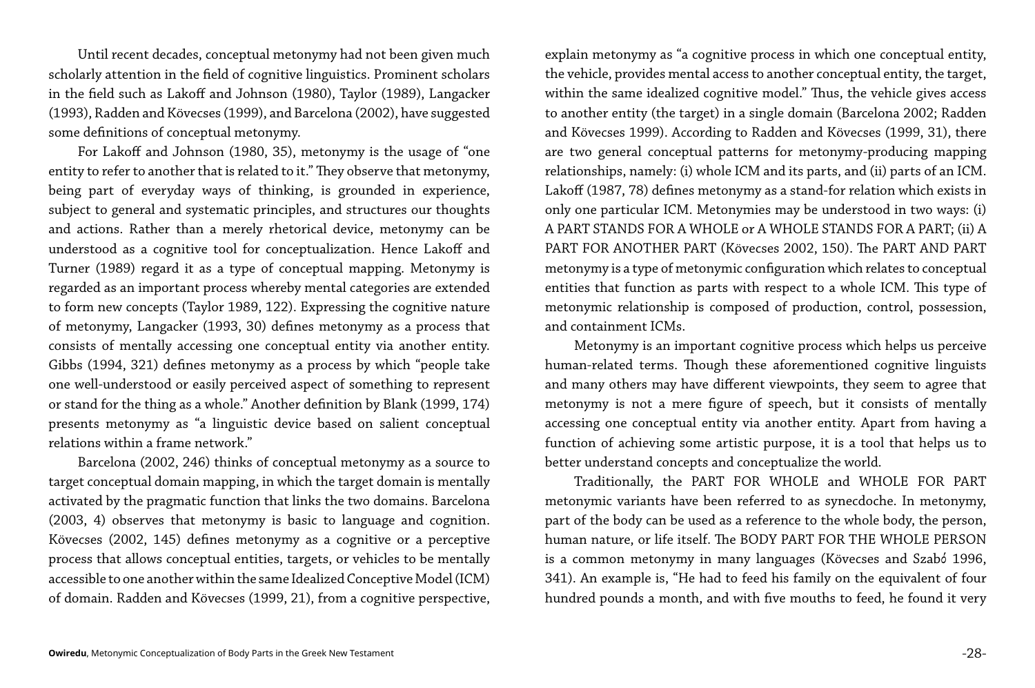Until recent decades, conceptual metonymy had not been given much scholarly attention in the field of cognitive linguistics. Prominent scholars in the field such as Lakoff and Johnson (1980), Taylor (1989), Langacker (1993), Radden and Kövecses (1999), and Barcelona (2002), have suggested some definitions of conceptual metonymy.

For Lakoff and Johnson (1980, 35), metonymy is the usage of "one entity to refer to another that is related to it." They observe that metonymy, being part of everyday ways of thinking, is grounded in experience, subject to general and systematic principles, and structures our thoughts and actions. Rather than a merely rhetorical device, metonymy can be understood as a cognitive tool for conceptualization. Hence Lakoff and Turner (1989) regard it as a type of conceptual mapping. Metonymy is regarded as an important process whereby mental categories are extended to form new concepts (Taylor 1989, 122). Expressing the cognitive nature of metonymy, Langacker (1993, 30) defines metonymy as a process that consists of mentally accessing one conceptual entity via another entity. Gibbs (1994, 321) defines metonymy as a process by which "people take one well-understood or easily perceived aspect of something to represent or stand for the thing as a whole." Another definition by Blank (1999, 174) presents metonymy as "a linguistic device based on salient conceptual relations within a frame network."

Barcelona (2002, 246) thinks of conceptual metonymy as a source to target conceptual domain mapping, in which the target domain is mentally activated by the pragmatic function that links the two domains. Barcelona (2003, 4) observes that metonymy is basic to language and cognition. Kövecses (2002, 145) defines metonymy as a cognitive or a perceptive process that allows conceptual entities, targets, or vehicles to be mentally accessible to one another within the same Idealized Conceptive Model (ICM) of domain. Radden and Kövecses (1999, 21), from a cognitive perspective,

explain metonymy as "a cognitive process in which one conceptual entity, the vehicle, provides mental access to another conceptual entity, the target, within the same idealized cognitive model." Thus, the vehicle gives access to another entity (the target) in a single domain (Barcelona 2002; Radden and Kövecses 1999). According to Radden and Kövecses (1999, 31), there are two general conceptual patterns for metonymy-producing mapping relationships, namely: (i) whole ICM and its parts, and (ii) parts of an ICM. Lakoff (1987, 78) defines metonymy as a stand-for relation which exists in only one particular ICM. Metonymies may be understood in two ways: (i) A PART STANDS FOR A WHOLE or A WHOLE STANDS FOR A PART; (ii) A PART FOR ANOTHER PART (Kövecses 2002, 150). The PART AND PART metonymy is a type of metonymic configuration which relates to conceptual entities that function as parts with respect to a whole ICM. This type of metonymic relationship is composed of production, control, possession, and containment ICMs.

Metonymy is an important cognitive process which helps us perceive human-related terms. Though these aforementioned cognitive linguists and many others may have different viewpoints, they seem to agree that metonymy is not a mere figure of speech, but it consists of mentally accessing one conceptual entity via another entity. Apart from having a function of achieving some artistic purpose, it is a tool that helps us to better understand concepts and conceptualize the world.

Traditionally, the PART FOR WHOLE and WHOLE FOR PART metonymic variants have been referred to as synecdoche. In metonymy, part of the body can be used as a reference to the whole body, the person, human nature, or life itself. The BODY PART FOR THE WHOLE PERSON is a common metonymy in many languages (Kövecses and Szabό 1996, 341). An example is, "He had to feed his family on the equivalent of four hundred pounds a month, and with five mouths to feed, he found it very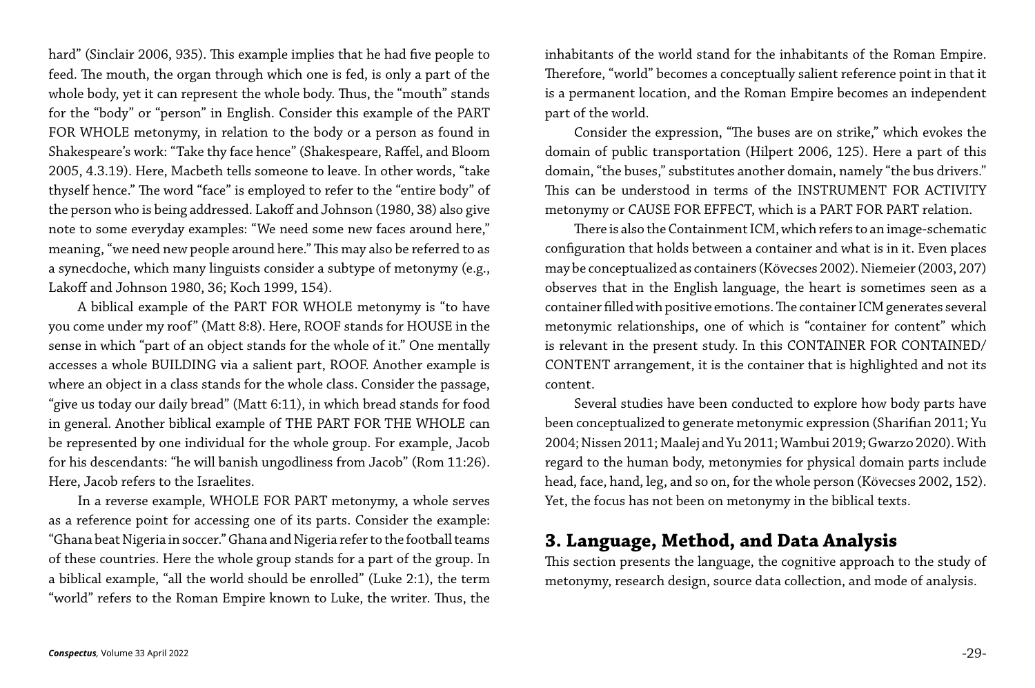hard" (Sinclair 2006, 935). This example implies that he had five people to feed. The mouth, the organ through which one is fed, is only a part of the whole body, yet it can represent the whole body. Thus, the "mouth" stands for the "body" or "person" in English. Consider this example of the PART FOR WHOLE metonymy, in relation to the body or a person as found in Shakespeare's work: "Take thy face hence" (Shakespeare, Raffel, and Bloom 2005, 4.3.19). Here, Macbeth tells someone to leave. In other words, "take thyself hence." The word "face" is employed to refer to the "entire body" of the person who is being addressed. Lakoff and Johnson (1980, 38) also give note to some everyday examples: "We need some new faces around here," meaning, "we need new people around here." This may also be referred to as a synecdoche, which many linguists consider a subtype of metonymy (e.g., Lakoff and Johnson 1980, 36; Koch 1999, 154).

A biblical example of the PART FOR WHOLE metonymy is "to have you come under my roof" (Matt 8:8). Here, ROOF stands for HOUSE in the sense in which "part of an object stands for the whole of it." One mentally accesses a whole BUILDING via a salient part, ROOF. Another example is where an object in a class stands for the whole class. Consider the passage, "give us today our daily bread" (Matt 6:11), in which bread stands for food in general. Another biblical example of THE PART FOR THE WHOLE can be represented by one individual for the whole group. For example, Jacob for his descendants: "he will banish ungodliness from Jacob" (Rom 11:26). Here, Jacob refers to the Israelites.

In a reverse example, WHOLE FOR PART metonymy, a whole serves as a reference point for accessing one of its parts. Consider the example: "Ghana beat Nigeria in soccer." Ghana and Nigeria refer to the football teams of these countries. Here the whole group stands for a part of the group. In a biblical example, "all the world should be enrolled" (Luke 2:1), the term "world" refers to the Roman Empire known to Luke, the writer. Thus, the inhabitants of the world stand for the inhabitants of the Roman Empire. Therefore, "world" becomes a conceptually salient reference point in that it is a permanent location, and the Roman Empire becomes an independent part of the world.

Consider the expression, "The buses are on strike," which evokes the domain of public transportation (Hilpert 2006, 125). Here a part of this domain, "the buses," substitutes another domain, namely "the bus drivers." This can be understood in terms of the INSTRUMENT FOR ACTIVITY metonymy or CAUSE FOR EFFECT, which is a PART FOR PART relation. There is also the Containment ICM, which refers to an image-schematic configuration that holds between a container and what is in it. Even places may be conceptualized as containers (Kövecses 2002). Niemeier (2003, 207) observes that in the English language, the heart is sometimes seen as a container filled with positive emotions. The container ICM generates several metonymic relationships, one of which is "container for content" which is relevant in the present study. In this CONTAINER FOR CONTAINED/ CONTENT arrangement, it is the container that is highlighted and not its

content.

Several studies have been conducted to explore how body parts have been conceptualized to generate metonymic expression (Sharifian 2011; Yu 2004; Nissen 2011; Maalej and Yu 2011; Wambui 2019; Gwarzo 2020). With regard to the human body, metonymies for physical domain parts include head, face, hand, leg, and so on, for the whole person (Kövecses 2002, 152). Yet, the focus has not been on metonymy in the biblical texts.

## **3. Language, Method, and Data Analysis**

This section presents the language, the cognitive approach to the study of metonymy, research design, source data collection, and mode of analysis.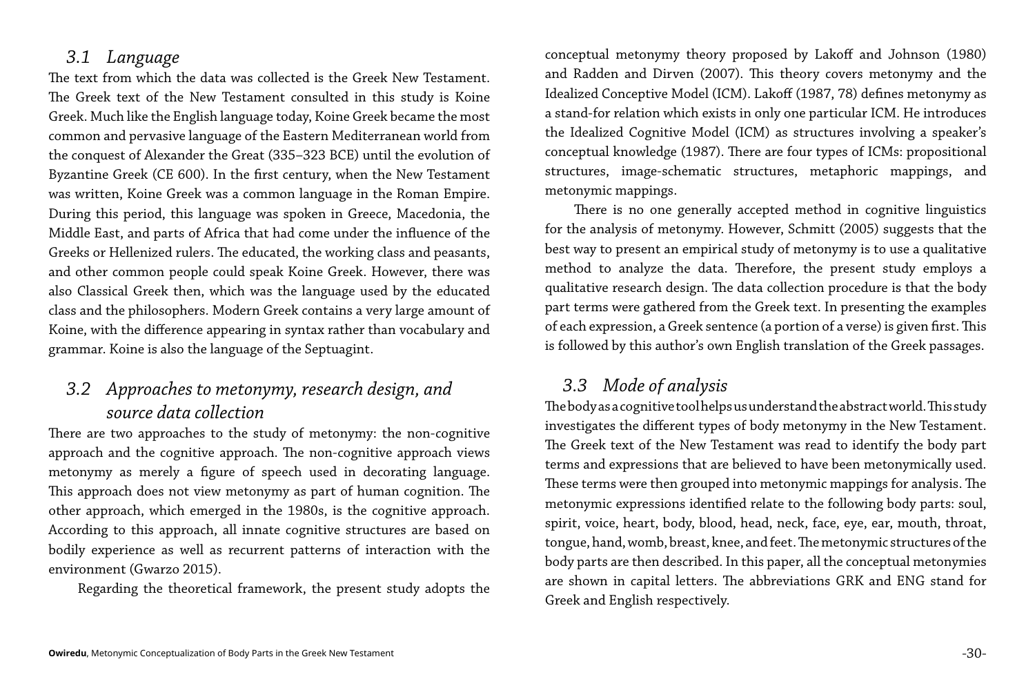#### *3.1 Language*

The text from which the data was collected is the Greek New Testament. The Greek text of the New Testament consulted in this study is Koine Greek. Much like the English language today, Koine Greek became the most common and pervasive language of the Eastern Mediterranean world from the conquest of Alexander the Great (335–323 BCE) until the evolution of Byzantine Greek (CE 600). In the first century, when the New Testament was written, Koine Greek was a common language in the Roman Empire. During this period, this language was spoken in Greece, Macedonia, the Middle East, and parts of Africa that had come under the influence of the Greeks or Hellenized rulers. The educated, the working class and peasants, and other common people could speak Koine Greek. However, there was also Classical Greek then, which was the language used by the educated class and the philosophers. Modern Greek contains a very large amount of Koine, with the difference appearing in syntax rather than vocabulary and grammar. Koine is also the language of the Septuagint.

#### *3.2 Approaches to metonymy, research design, and source data collection*

There are two approaches to the study of metonymy: the non-cognitive approach and the cognitive approach. The non-cognitive approach views metonymy as merely a figure of speech used in decorating language. This approach does not view metonymy as part of human cognition. The other approach, which emerged in the 1980s, is the cognitive approach. According to this approach, all innate cognitive structures are based on bodily experience as well as recurrent patterns of interaction with the environment (Gwarzo 2015).

Regarding the theoretical framework, the present study adopts the

conceptual metonymy theory proposed by Lakoff and Johnson (1980) and Radden and Dirven (2007). This theory covers metonymy and the Idealized Conceptive Model (ICM). Lakoff (1987, 78) defines metonymy as a stand-for relation which exists in only one particular ICM. He introduces the Idealized Cognitive Model (ICM) as structures involving a speaker's conceptual knowledge (1987). There are four types of ICMs: propositional structures, image-schematic structures, metaphoric mappings, and metonymic mappings.

There is no one generally accepted method in cognitive linguistics for the analysis of metonymy. However, Schmitt (2005) suggests that the best way to present an empirical study of metonymy is to use a qualitative method to analyze the data. Therefore, the present study employs a qualitative research design. The data collection procedure is that the body part terms were gathered from the Greek text. In presenting the examples of each expression, a Greek sentence (a portion of a verse) is given first. This is followed by this author's own English translation of the Greek passages.

*3.3 Mode of analysis* The body as a cognitive tool helps us understand the abstract world. This study investigates the different types of body metonymy in the New Testament. The Greek text of the New Testament was read to identify the body part terms and expressions that are believed to have been metonymically used. These terms were then grouped into metonymic mappings for analysis. The metonymic expressions identified relate to the following body parts: soul, spirit, voice, heart, body, blood, head, neck, face, eye, ear, mouth, throat, tongue, hand, womb, breast, knee, and feet. The metonymic structures of the body parts are then described. In this paper, all the conceptual metonymies are shown in capital letters. The abbreviations GRK and ENG stand for Greek and English respectively.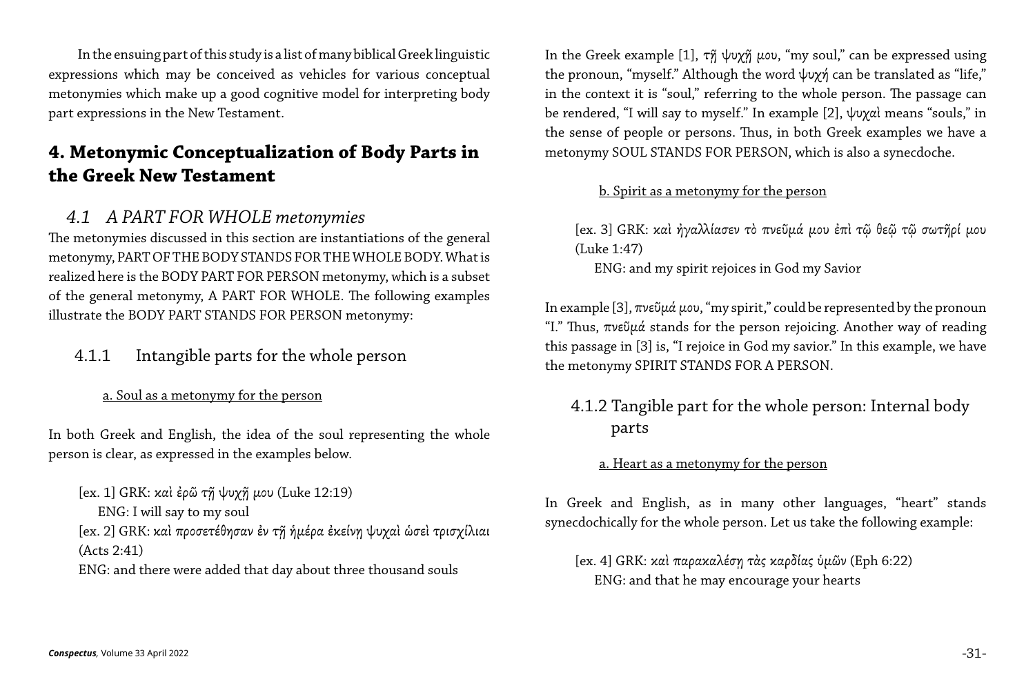In the ensuing part of this study is a list of many biblical Greek linguistic expressions which may be conceived as vehicles for various conceptual metonymies which make up a good cognitive model for interpreting body part expressions in the New Testament.

#### **4. Metonymic Conceptualization of Body Parts in the Greek New Testament**

#### *4.1 A PART FOR WHOLE metonymies*

The metonymies discussed in this section are instantiations of the general metonymy, PART OF THE BODY STANDS FOR THE WHOLE BODY. What is realized here is the BODY PART FOR PERSON metonymy, which is a subset of the general metonymy, A PART FOR WHOLE. The following examples illustrate the BODY PART STANDS FOR PERSON metonymy:

#### 4.1.1 Intangible parts for the whole person

#### a. Soul as a metonymy for the person

In the Greek example [1], τ $\tilde{\eta}$  ψυχ $\tilde{\eta}$  μου, "my soul," can be expressed using the pronoun, "myself." Although the word ψυχή can be translated as "life," in the context it is "soul," referring to the whole person. The passage can be rendered, "I will say to myself." In example [2], ψυχαὶ means "souls," in the sense of people or persons. Thus, in both Greek examples we have a metonymy SOUL STANDS FOR PERSON, which is also a synecdoche.

In both Greek and English, the idea of the soul representing the whole person is clear, as expressed in the examples below.

In example [3], πνεῦμά μου, "my spirit," could be represented by the pronoun "I." Thus,  $\pi v \in \mathfrak{D} \mu \alpha$  stands for the person rejoicing. Another way of reading this passage in [3] is, "I rejoice in God my savior." In this example, we have the metonymy SPIRIT STANDS FOR A PERSON.

[ex. 1] GRK: καὶ ἐρῶ τῇ ψυχῇ μου (Luke 12:19) ENG: I will say to my soul [ex. 2] GRK: καὶ προσετέθησαν ἐν τῇ ἡμέρα ἐκείνῃ ψυχαὶ ὡσεὶ τρισχίλιαι (Acts 2:41) ENG: and there were added that day about three thousand souls

#### b. Spirit as a metonymy for the person

[ex. 3] GRK: καὶ ἠγαλλίασεν τὸ πνεῦμά μου ἐπὶ τῷ θεῷ τῷ σωτῆρί μου (Luke 1:47) ENG: and my spirit rejoices in God my Savior

4.1.2 Tangible part for the whole person: Internal body

# parts

#### a. Heart as a metonymy for the person

In Greek and English, as in many other languages, "heart" stands synecdochically for the whole person. Let us take the following example:

[ex. 4] GRK: καὶ παρακαλέσῃ τὰς καρδίας ὑμῶν (Eph 6:22) ENG: and that he may encourage your hearts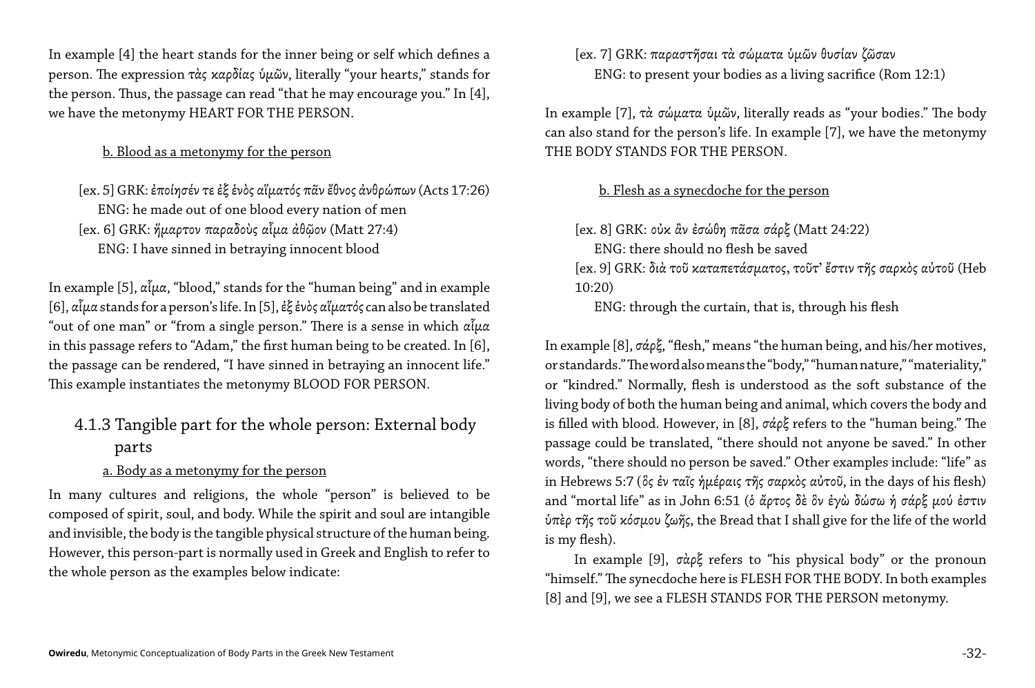In example [4] the heart stands for the inner being or self which defines a person. The expression τὰς καρδίας ὑμῶν, literally "your hearts," stands for the person. Thus, the passage can read "that he may encourage you." In [4], we have the metonymy HEART FOR THE PERSON.

b. Blood as a metonymy for the person

[ex. 5] GRK: ἐποίησέν τε ἐξ ἑνὸς αἵματός πᾶν ἔθνος ἀνθρώπων (Acts 17:26) ENG: he made out of one blood every nation of men [ex. 6] GRK: ἥμαρτον παραδοὺς αἷμα ἀθῷον (Matt 27:4) ENG: I have sinned in betraying innocent blood

In example [5],  $\alpha\tilde{\iota}\mu\alpha$ , "blood," stands for the "human being" and in example [6], αἷμα stands for a person's life. In [5], ἐξ ἑνὸς αἵματός can also be translated "out of one man" or "from a single person." There is a sense in which  $\alpha\tilde{\iota}\mu\alpha$ in this passage refers to "Adam," the first human being to be created. In [6], the passage can be rendered, "I have sinned in betraying an innocent life." This example instantiates the metonymy BLOOD FOR PERSON.

#### 4.1.3 Tangible part for the whole person: External body parts

#### a. Body as a metonymy for the person

In many cultures and religions, the whole "person" is believed to be composed of spirit, soul, and body. While the spirit and soul are intangible and invisible, the body is the tangible physical structure of the human being. However, this person-part is normally used in Greek and English to refer to the whole person as the examples below indicate:

[ex. 7] GRK: παραστῆσαι τὰ σώματα ὑμῶν θυσίαν ζῶσαν ENG: to present your bodies as a living sacrifice (Rom 12:1)

In example [7], τὰ σώματα ὑμῶν, literally reads as "your bodies." The body can also stand for the person's life. In example [7], we have the metonymy THE BODY STANDS FOR THE PERSON.

b. Flesh as a synecdoche for the person

[ex. 8] GRK: οὐκ ἂν ἐσώθη πᾶσα σάρξ (Matt 24:22) ENG: there should no flesh be saved [ex. 9] GRK: διὰ τοῦ καταπετάσματος, τοῦτ' ἔστιν τῆς σαρκὸς αὐτοῦ (Heb 10:20)

ENG: through the curtain, that is, through his flesh

In example [8], σάρξ, "flesh," means "the human being, and his/her motives, or standards." The word also means the "body," "human nature," "materiality," or "kindred." Normally, flesh is understood as the soft substance of the living body of both the human being and animal, which covers the body and is filled with blood. However, in [8], σάρξ refers to the "human being." The passage could be translated, "there should not anyone be saved." In other words, "there should no person be saved." Other examples include: "life" as in Hebrews 5:7 (ὃς ἐν ταῖς ἡμέραις τῆς σαρκὸς αὐτοῦ, in the days of his flesh) and "mortal life" as in John 6:51 (ὁ ἄρτος δὲ ὃν ἐγὼ δώσω ἡ σάρξ μού ἐστιν ὑπὲρ τῆς τοῦ κόσμου ζωῆς, the Bread that I shall give for the life of the world is my flesh).

In example [9], σὰρξ refers to "his physical body" or the pronoun "himself." The synecdoche here is FLESH FOR THE BODY. In both examples [8] and [9], we see a FLESH STANDS FOR THE PERSON metonymy.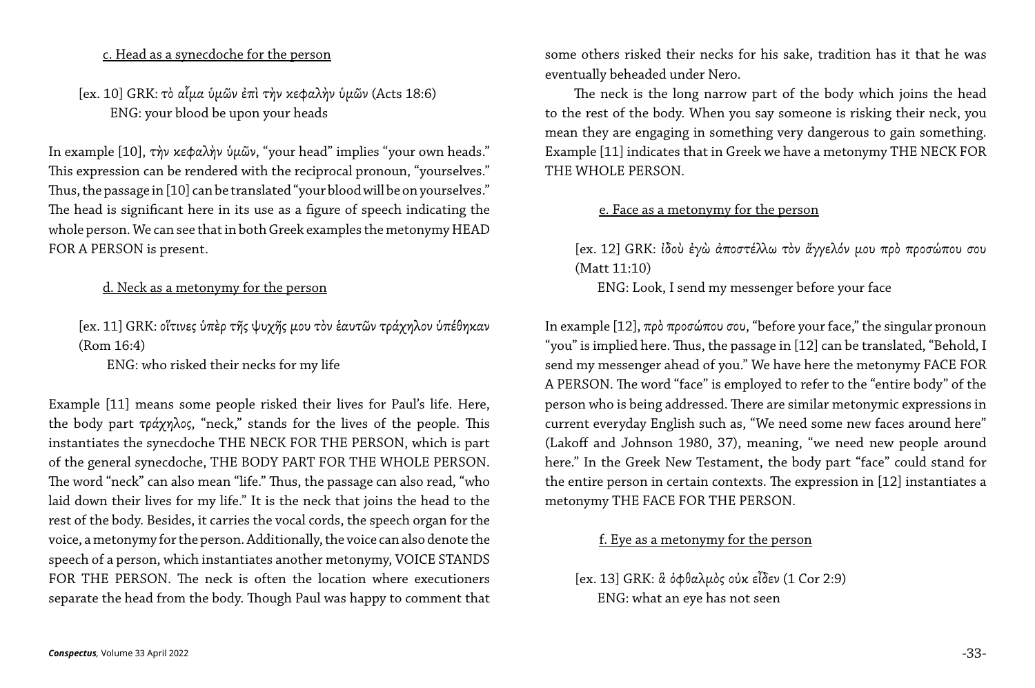c. Head as a synecdoche for the person

[ex. 10] GRK: τὸ αἷμα ὑμῶν ἐπὶ τὴν κεφαλὴν ὑμῶν (Acts 18:6) ENG: your blood be upon your heads

In example [10], τὴν κεφαλὴν ὑμῶν, "your head" implies "your own heads." This expression can be rendered with the reciprocal pronoun, "yourselves." Thus, the passage in [10] can be translated "your blood will be on yourselves." The head is significant here in its use as a figure of speech indicating the whole person. We can see that in both Greek examples the metonymy HEAD FOR A PERSON is present.

#### d. Neck as a metonymy for the person

[ex. 11] GRK: οἵτινες ὑπὲρ τῆς ψυχῆς μου τὸν ἑαυτῶν τράχηλον ὑπέθηκαν (Rom 16:4)

ENG: who risked their necks for my life

Example [11] means some people risked their lives for Paul's life. Here, the body part τράχηλος, "neck," stands for the lives of the people. This instantiates the synecdoche THE NECK FOR THE PERSON, which is part of the general synecdoche, THE BODY PART FOR THE WHOLE PERSON. The word "neck" can also mean "life." Thus, the passage can also read, "who laid down their lives for my life." It is the neck that joins the head to the rest of the body. Besides, it carries the vocal cords, the speech organ for the voice, a metonymy for the person. Additionally, the voice can also denote the speech of a person, which instantiates another metonymy, VOICE STANDS FOR THE PERSON. The neck is often the location where executioners separate the head from the body. Though Paul was happy to comment that In example [12], πρὸ προσώπου σου, "before your face," the singular pronoun "you" is implied here. Thus, the passage in [12] can be translated, "Behold, I send my messenger ahead of you." We have here the metonymy FACE FOR A PERSON. The word "face" is employed to refer to the "entire body" of the person who is being addressed. There are similar metonymic expressions in current everyday English such as, "We need some new faces around here" (Lakoff and Johnson 1980, 37), meaning, "we need new people around here." In the Greek New Testament, the body part "face" could stand for the entire person in certain contexts. The expression in [12] instantiates a metonymy THE FACE FOR THE PERSON.

some others risked their necks for his sake, tradition has it that he was eventually beheaded under Nero.

 The neck is the long narrow part of the body which joins the head to the rest of the body. When you say someone is risking their neck, you mean they are engaging in something very dangerous to gain something. Example [11] indicates that in Greek we have a metonymy THE NECK FOR THE WHOLE PERSON.

#### e. Face as a metonymy for the person

[ex. 12] GRK: ἰδοὺ ἐγὼ ἀποστέλλω τὸν ἄγγελόν μου πρὸ προσώπου σου (Matt 11:10) ENG: Look, I send my messenger before your face

#### f. Eye as a metonymy for the person

[ex. 13] GRK: ἃ ὀφθαλμὸς οὐκ εἶδεν (1 Cor 2:9) ENG: what an eye has not seen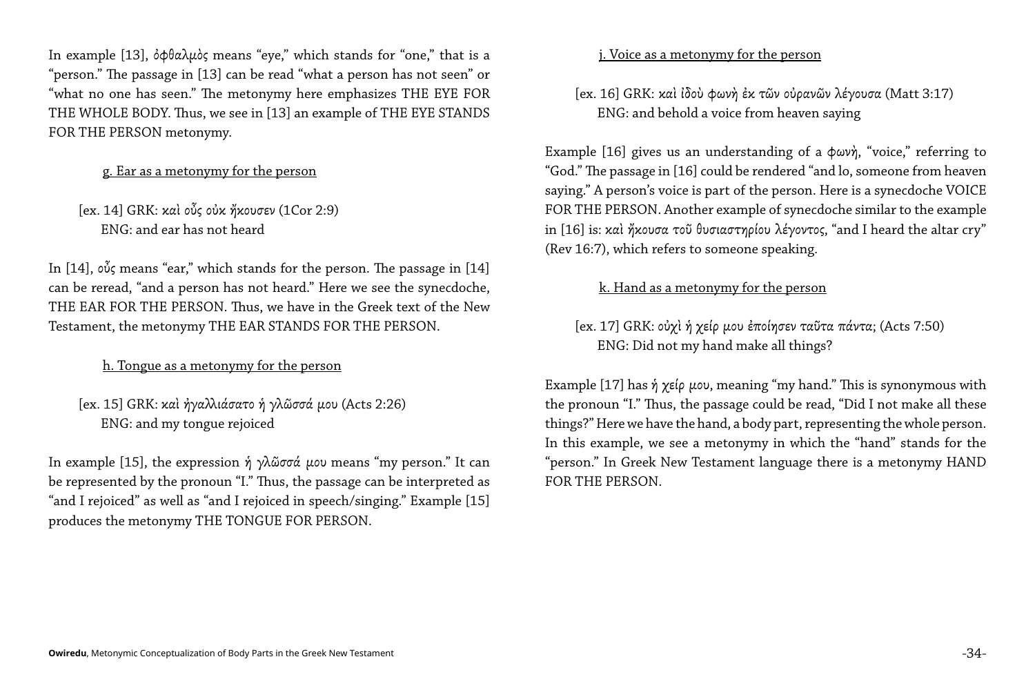In example [13], ὀφθαλμὸς means "eye," which stands for "one," that is a "person." The passage in [13] can be read "what a person has not seen" or "what no one has seen." The metonymy here emphasizes THE EYE FOR THE WHOLE BODY. Thus, we see in [13] an example of THE EYE STANDS FOR THE PERSON metonymy.

#### g. Ear as a metonymy for the person

[ex. 14] GRK: καὶ οὖς οὐκ ἤκουσεν (1Cor 2:9) ENG: and ear has not heard

In example [15], the expression ή γλῶσσά μου means "my person." It can be represented by the pronoun "I." Thus, the passage can be interpreted as "and I rejoiced" as well as "and I rejoiced in speech/singing." Example [15] produces the metonymy THE TONGUE FOR PERSON.

In [14], οὖς means "ear," which stands for the person. The passage in [14] can be reread, "and a person has not heard." Here we see the synecdoche, THE EAR FOR THE PERSON. Thus, we have in the Greek text of the New Testament, the metonymy THE EAR STANDS FOR THE PERSON.

h. Tongue as a metonymy for the person

[ex. 15] GRK: καὶ ἠγαλλιάσατο ἡ γλῶσσά μου (Acts 2:26) ENG: and my tongue rejoiced

#### j. Voice as a metonymy for the person

[ex. 16] GRK: καὶ ἰδοὺ φωνὴ ἐκ τῶν οὐρανῶν λέγουσα (Matt 3:17) ENG: and behold a voice from heaven saying

Example [16] gives us an understanding of a φωνὴ, "voice," referring to "God." The passage in [16] could be rendered "and lo, someone from heaven saying." A person's voice is part of the person. Here is a synecdoche VOICE FOR THE PERSON. Another example of synecdoche similar to the example in [16] is: καὶ ἤκουσα τοῦ θυσιαστηρίου λέγοντος, "and I heard the altar cry" (Rev 16:7), which refers to someone speaking.

#### k. Hand as a metonymy for the person

[ex. 17] GRK: οὐχὶ ἡ χείρ μου ἐποίησεν ταῦτα πάντα; (Acts 7:50) ENG: Did not my hand make all things?

Example [17] has ἡ χείρ μου, meaning "my hand." This is synonymous with the pronoun "I." Thus, the passage could be read, "Did I not make all these things?" Here we have the hand, a body part, representing the whole person. In this example, we see a metonymy in which the "hand" stands for the "person." In Greek New Testament language there is a metonymy HAND FOR THE PERSON.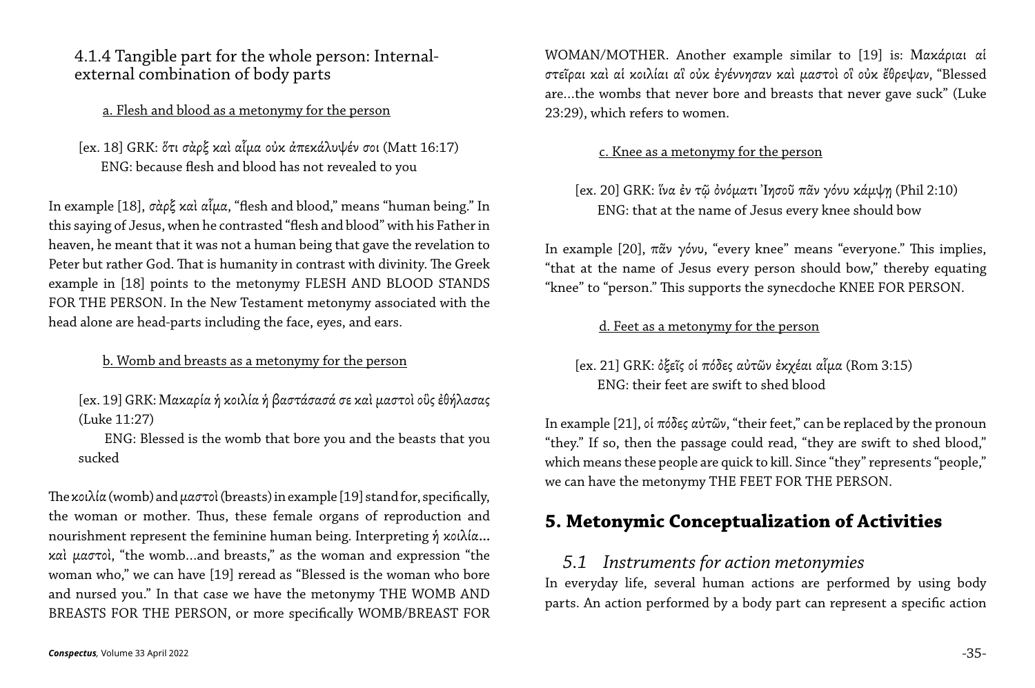#### 4.1.4 Tangible part for the whole person: Internalexternal combination of body parts

a. Flesh and blood as a metonymy for the person

[ex. 18] GRK: ὅτι σὰρξ καὶ αἷμα οὐκ ἀπεκάλυψέν σοι (Matt 16:17) ENG: because flesh and blood has not revealed to you

In example [18], σὰρξ καὶ αἷμα, "flesh and blood," means "human being." In this saying of Jesus, when he contrasted "flesh and blood" with his Father in heaven, he meant that it was not a human being that gave the revelation to Peter but rather God. That is humanity in contrast with divinity. The Greek example in [18] points to the metonymy FLESH AND BLOOD STANDS FOR THE PERSON. In the New Testament metonymy associated with the head alone are head-parts including the face, eyes, and ears.

b. Womb and breasts as a metonymy for the person

[ex. 19] GRK: Mακαρία ἡ κοιλία ἡ βαστάσασά σε καὶ μαστοὶ οὓς ἐθήλασας (Luke 11:27)

 ENG: Blessed is the womb that bore you and the beasts that you sucked

The κοιλία (womb) and μαστοὶ (breasts) in example [19] stand for, specifically, the woman or mother. Thus, these female organs of reproduction and nourishment represent the feminine human being. Interpreting ἡ κοιλία… καὶ μαστοὶ, "the womb…and breasts," as the woman and expression "the woman who," we can have [19] reread as "Blessed is the woman who bore and nursed you." In that case we have the metonymy THE WOMB AND BREASTS FOR THE PERSON, or more specifically WOMB/BREAST FOR WOMAN/MOTHER. Another example similar to [19] is: Μακάριαι αἱ στεῖραι καὶ αἱ κοιλίαι αἳ οὐκ ἐγέννησαν καὶ μαστοὶ οἳ οὐκ ἔθρεψαν, "Blessed are…the wombs that never bore and breasts that never gave suck" (Luke 23:29), which refers to women.

#### c. Knee as a metonymy for the person

[ex. 20] GRK: ἵνα ἐν τῷ ὀνόματι Ἰησοῦ πᾶν γόνυ κάμψῃ (Phil 2:10) ENG: that at the name of Jesus every knee should bow

In example [20], πᾶν γόνυ, "every knee" means "everyone." This implies, "that at the name of Jesus every person should bow," thereby equating "knee" to "person." This supports the synecdoche KNEE FOR PERSON.

d. Feet as a metonymy for the person

[ex. 21] GRK: ὀξεῖς οἱ πόδες αὐτῶν ἐκχέαι αἷμα (Rom 3:15) ENG: their feet are swift to shed blood

In example [21], οἱ πόδες αὐτῶν, "their feet," can be replaced by the pronoun "they." If so, then the passage could read, "they are swift to shed blood," which means these people are quick to kill. Since "they" represents "people," we can have the metonymy THE FEET FOR THE PERSON.

### **5. Metonymic Conceptualization of Activities**

*5.1 Instruments for action metonymies*  In everyday life, several human actions are performed by using body parts. An action performed by a body part can represent a specific action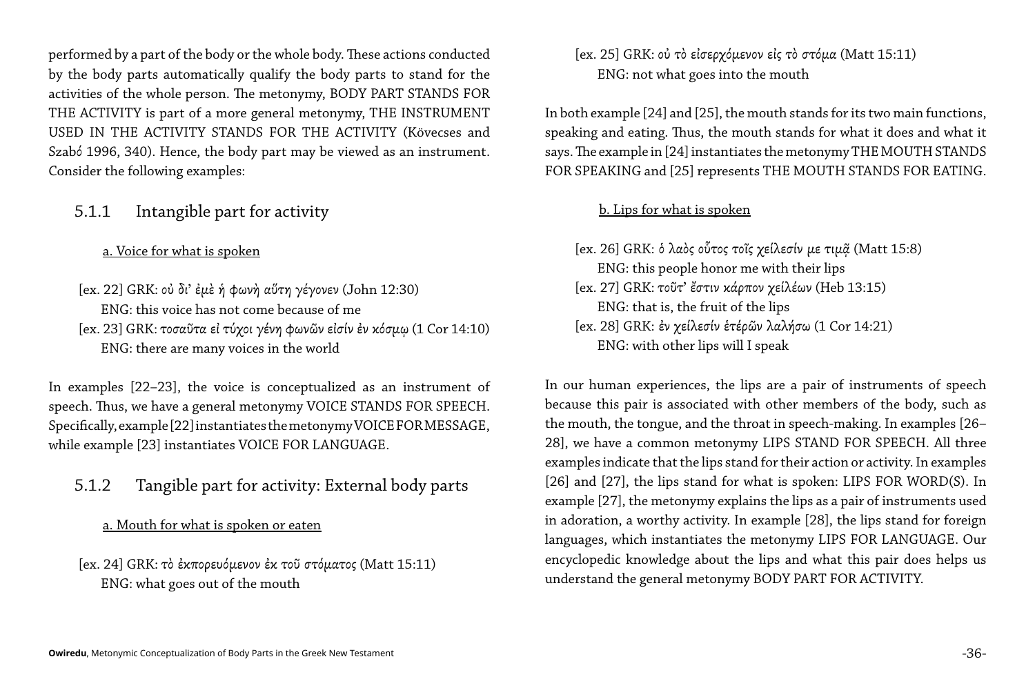performed by a part of the body or the whole body. These actions conducted by the body parts automatically qualify the body parts to stand for the activities of the whole person. The metonymy, BODY PART STANDS FOR THE ACTIVITY is part of a more general metonymy, THE INSTRUMENT USED IN THE ACTIVITY STANDS FOR THE ACTIVITY (Kövecses and Szabό 1996, 340). Hence, the body part may be viewed as an instrument. Consider the following examples:

#### 5.1.1 Intangible part for activity

a. Voice for what is spoken

[ex. 22] GRK: οὐ δι' ἐμὲ ἡ φωνὴ αὕτη γέγονεν (John 12:30) ENG: this voice has not come because of me [ex. 23] GRK: τοσαῦτα εἰ τύχοι γένη φωνῶν εἰσίν ἐν κόσμῳ (1 Cor 14:10) ENG: there are many voices in the world

In examples [22–23], the voice is conceptualized as an instrument of speech. Thus, we have a general metonymy VOICE STANDS FOR SPEECH. Specifically, example [22] instantiates the metonymy VOICE FOR MESSAGE, while example [23] instantiates VOICE FOR LANGUAGE.

```
[ex. 26] GRK: ὁ λαὸς οὗτος τοῖς χείλεσίν με τιμ\tilde{\alpha} (Matt 15:8)
[ex. 27] GRK: τοῦτ' ἔστιν κάρπον χείλέων (Heb 13:15)
[ex. 28] GRK: ἐν χείλεσίν ἑτέρῶν λαλήσω (1 Cor 14:21)
```
5.1.2 Tangible part for activity: External body parts

#### a. Mouth for what is spoken or eaten

[ex. 24] GRK: τὸ ἐκπορευόμενον ἐκ τοῦ στόματος (Matt 15:11) ENG: what goes out of the mouth

```
[ex. 25] GRK: οὐ τὸ εἰσερχόμενον εἰς τὸ στόμα (Matt 15:11)
```
ENG: not what goes into the mouth

In both example [24] and [25], the mouth stands for its two main functions, speaking and eating. Thus, the mouth stands for what it does and what it says. The example in [24] instantiates the metonymy THE MOUTH STANDS FOR SPEAKING and [25] represents THE MOUTH STANDS FOR EATING.

#### b. Lips for what is spoken

 ENG: this people honor me with their lips ENG: that is, the fruit of the lips ENG: with other lips will I speak

In our human experiences, the lips are a pair of instruments of speech because this pair is associated with other members of the body, such as the mouth, the tongue, and the throat in speech-making. In examples [26– 28], we have a common metonymy LIPS STAND FOR SPEECH. All three examples indicate that the lips stand for their action or activity. In examples [26] and [27], the lips stand for what is spoken: LIPS FOR WORD(S). In example [27], the metonymy explains the lips as a pair of instruments used in adoration, a worthy activity. In example [28], the lips stand for foreign languages, which instantiates the metonymy LIPS FOR LANGUAGE. Our encyclopedic knowledge about the lips and what this pair does helps us understand the general metonymy BODY PART FOR ACTIVITY.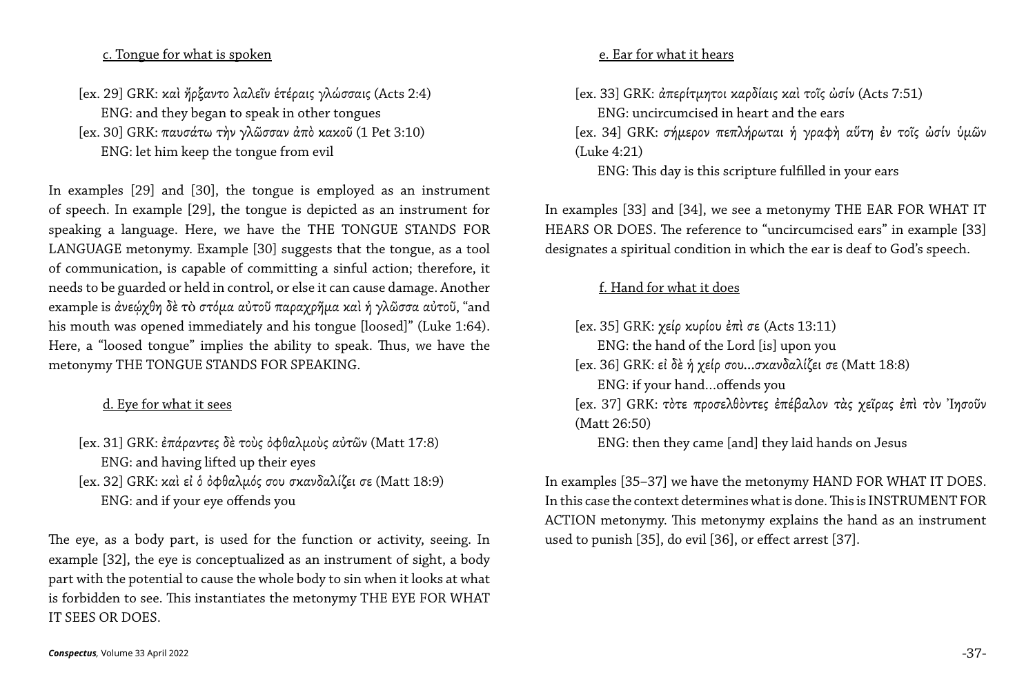#### c. Tongue for what is spoken

[ex. 29] GRK: καὶ ἤρξαντο λαλεῖν ἑτέραις γλώσσαις (Acts 2:4) ENG: and they began to speak in other tongues [ex. 30] GRK: παυσάτω τὴν γλῶσσαν ἀπὸ κακοῦ (1 Pet 3:10) ENG: let him keep the tongue from evil

In examples [29] and [30], the tongue is employed as an instrument of speech. In example [29], the tongue is depicted as an instrument for speaking a language. Here, we have the THE TONGUE STANDS FOR LANGUAGE metonymy. Example [30] suggests that the tongue, as a tool of communication, is capable of committing a sinful action; therefore, it needs to be guarded or held in control, or else it can cause damage. Another example is ἀνεώχθη δε το στόμα αύτοῦ παραχρῆμα καὶ ή γλῶσσα αὐτοῦ, "and his mouth was opened immediately and his tongue [loosed]" (Luke 1:64). Here, a "loosed tongue" implies the ability to speak. Thus, we have the metonymy THE TONGUE STANDS FOR SPEAKING.

[ex. 33] GRK: άπερίτμητοι καρδίαις και τοΐς ώσίν (Acts 7:51) ENG: uncircumcised in heart and the ears [ex. 34] GRK: σήμερον πεπλήρωται ή γραφή αύτη έν τοΐς ώσίν υμῶν (Luke 4:21) ENG: This day is this scripture fulfilled in your ears

#### d. Eye for what it sees

[ex. 31] GRK: ἐπάραντες δὲ τοὺς ὀφθαλμοὺς αὐτῶν (Matt 17:8) ENG: and having lifted up their eyes [ex. 32] GRK: καὶ εἰ ὁ ὀφθαλμός σου σκανδαλίζει σε (Matt 18:9) ENG: and if your eye offends you

The eye, as a body part, is used for the function or activity, seeing. In example [32], the eye is conceptualized as an instrument of sight, a body part with the potential to cause the whole body to sin when it looks at what is forbidden to see. This instantiates the metonymy THE EYE FOR WHAT IT SEES OR DOES.

In examples [33] and [34], we see a metonymy THE EAR FOR WHAT IT HEARS OR DOES. The reference to "uncircumcised ears" in example [33] designates a spiritual condition in which the ear is deaf to God's speech.

#### f. Hand for what it does

[ex. 35] GRK: χείρ κυρίου ἐπὶ σε (Acts 13:11) ENG: the hand of the Lord [is] upon you [ex. 36] GRK: εἰ δὲ ἡ χείρ σου…σκανδαλίζει σε (Matt 18:8) ENG: if your hand…offends you [ex. 37] GRK: τὸτε προσελθὸντες ἐπέβαλον τὰς χεῖρας ἐπὶ τὸν Ἰησοῦν (Matt 26:50) ENG: then they came [and] they laid hands on Jesus

In examples [35–37] we have the metonymy HAND FOR WHAT IT DOES. In this case the context determines what is done. This is INSTRUMENT FOR ACTION metonymy. This metonymy explains the hand as an instrument used to punish [35], do evil [36], or effect arrest [37].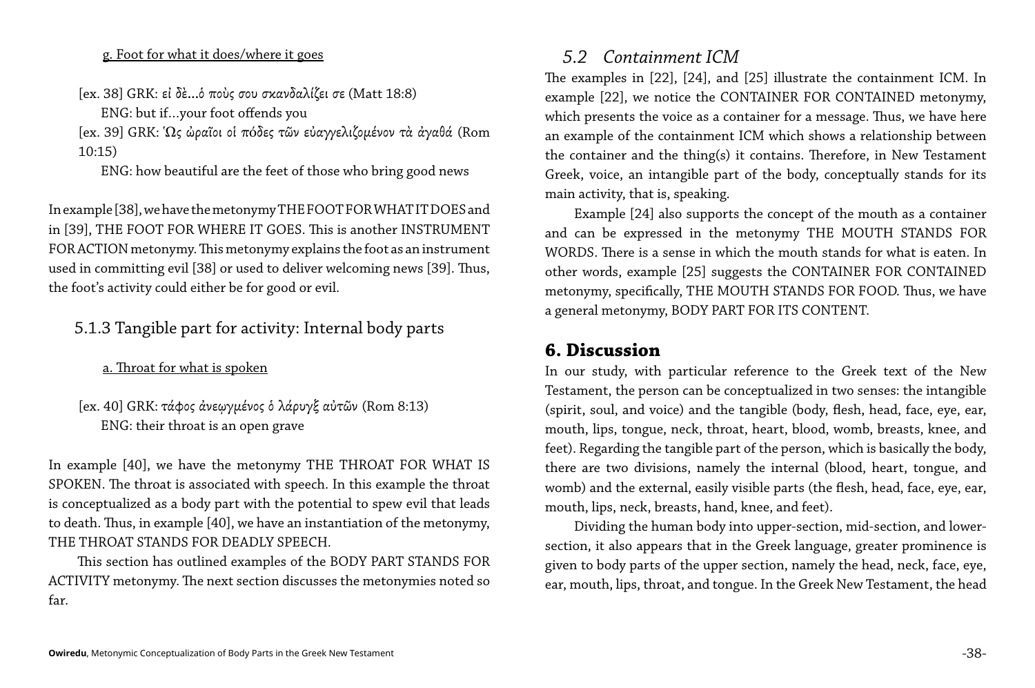#### g. Foot for what it does/where it goes

[ex. 38] GRK: εἰ δὲ…ὁ ποὺς σου σκανδαλίζει σε (Matt 18:8)

ENG: but if…your foot offends you

[ex. 39] GRK: Ὡς ὠραῖοι οἱ πóδες τῶν εὐαγγελιζομένον τὰ ἀγαθά (Rom 10:15)

ENG: how beautiful are the feet of those who bring good news

In example [38], we have the metonymy THE FOOT FOR WHAT IT DOES and in [39], THE FOOT FOR WHERE IT GOES. This is another INSTRUMENT FOR ACTION metonymy. This metonymy explains the foot as an instrument used in committing evil [38] or used to deliver welcoming news [39]. Thus, the foot's activity could either be for good or evil.

#### 5.1.3 Tangible part for activity: Internal body parts

#### a. Throat for what is spoken

#### [ex. 40] GRK: τάφος ἀνεῳγμένος ὁ λάρυγξ αὐτῶν (Rom 8:13) ENG: their throat is an open grave

In example [40], we have the metonymy THE THROAT FOR WHAT IS SPOKEN. The throat is associated with speech. In this example the throat is conceptualized as a body part with the potential to spew evil that leads to death. Thus, in example [40], we have an instantiation of the metonymy, THE THROAT STANDS FOR DEADLY SPEECH.

This section has outlined examples of the BODY PART STANDS FOR ACTIVITY metonymy. The next section discusses the metonymies noted so far.

The examples in [22], [24], and [25] illustrate the containment ICM. In example [22], we notice the CONTAINER FOR CONTAINED metonymy, which presents the voice as a container for a message. Thus, we have here an example of the containment ICM which shows a relationship between the container and the thing(s) it contains. Therefore, in New Testament Greek, voice, an intangible part of the body, conceptually stands for its

# *5.2 Containment ICM* main activity, that is, speaking.

Example [24] also supports the concept of the mouth as a container and can be expressed in the metonymy THE MOUTH STANDS FOR WORDS. There is a sense in which the mouth stands for what is eaten. In other words, example [25] suggests the CONTAINER FOR CONTAINED metonymy, specifically, THE MOUTH STANDS FOR FOOD. Thus, we have a general metonymy, BODY PART FOR ITS CONTENT.

#### **6. Discussion**

In our study, with particular reference to the Greek text of the New Testament, the person can be conceptualized in two senses: the intangible (spirit, soul, and voice) and the tangible (body, flesh, head, face, eye, ear, mouth, lips, tongue, neck, throat, heart, blood, womb, breasts, knee, and feet). Regarding the tangible part of the person, which is basically the body, there are two divisions, namely the internal (blood, heart, tongue, and womb) and the external, easily visible parts (the flesh, head, face, eye, ear, mouth, lips, neck, breasts, hand, knee, and feet).

Dividing the human body into upper-section, mid-section, and lowersection, it also appears that in the Greek language, greater prominence is given to body parts of the upper section, namely the head, neck, face, eye, ear, mouth, lips, throat, and tongue. In the Greek New Testament, the head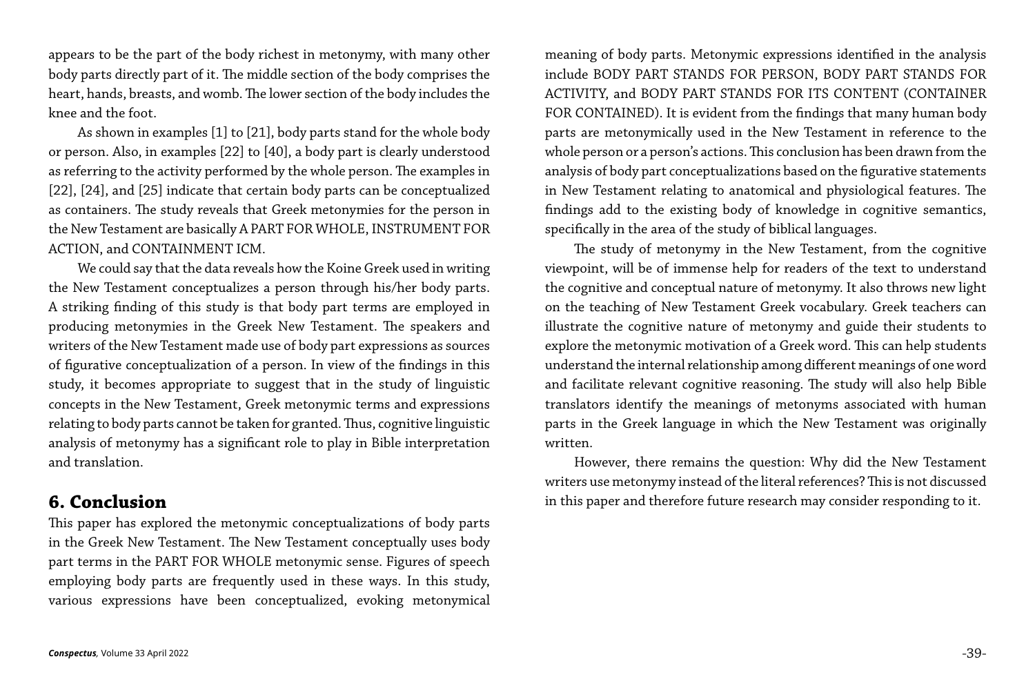appears to be the part of the body richest in metonymy, with many other body parts directly part of it. The middle section of the body comprises the heart, hands, breasts, and womb. The lower section of the body includes the knee and the foot.

As shown in examples [1] to [21], body parts stand for the whole body or person. Also, in examples [22] to [40], a body part is clearly understood as referring to the activity performed by the whole person. The examples in [22], [24], and [25] indicate that certain body parts can be conceptualized as containers. The study reveals that Greek metonymies for the person in the New Testament are basically A PART FOR WHOLE, INSTRUMENT FOR ACTION, and CONTAINMENT ICM.

We could say that the data reveals how the Koine Greek used in writing the New Testament conceptualizes a person through his/her body parts. A striking finding of this study is that body part terms are employed in producing metonymies in the Greek New Testament. The speakers and writers of the New Testament made use of body part expressions as sources of figurative conceptualization of a person. In view of the findings in this study, it becomes appropriate to suggest that in the study of linguistic concepts in the New Testament, Greek metonymic terms and expressions relating to body parts cannot be taken for granted. Thus, cognitive linguistic analysis of metonymy has a significant role to play in Bible interpretation and translation.

#### **6. Conclusion**

This paper has explored the metonymic conceptualizations of body parts in the Greek New Testament. The New Testament conceptually uses body part terms in the PART FOR WHOLE metonymic sense. Figures of speech employing body parts are frequently used in these ways. In this study, various expressions have been conceptualized, evoking metonymical

meaning of body parts. Metonymic expressions identified in the analysis include BODY PART STANDS FOR PERSON, BODY PART STANDS FOR ACTIVITY, and BODY PART STANDS FOR ITS CONTENT (CONTAINER FOR CONTAINED). It is evident from the findings that many human body parts are metonymically used in the New Testament in reference to the whole person or a person's actions. This conclusion has been drawn from the analysis of body part conceptualizations based on the figurative statements in New Testament relating to anatomical and physiological features. The findings add to the existing body of knowledge in cognitive semantics, specifically in the area of the study of biblical languages.

The study of metonymy in the New Testament, from the cognitive viewpoint, will be of immense help for readers of the text to understand the cognitive and conceptual nature of metonymy. It also throws new light on the teaching of New Testament Greek vocabulary. Greek teachers can illustrate the cognitive nature of metonymy and guide their students to explore the metonymic motivation of a Greek word. This can help students understand the internal relationship among different meanings of one word and facilitate relevant cognitive reasoning. The study will also help Bible translators identify the meanings of metonyms associated with human parts in the Greek language in which the New Testament was originally written.

However, there remains the question: Why did the New Testament writers use metonymy instead of the literal references? This is not discussed in this paper and therefore future research may consider responding to it.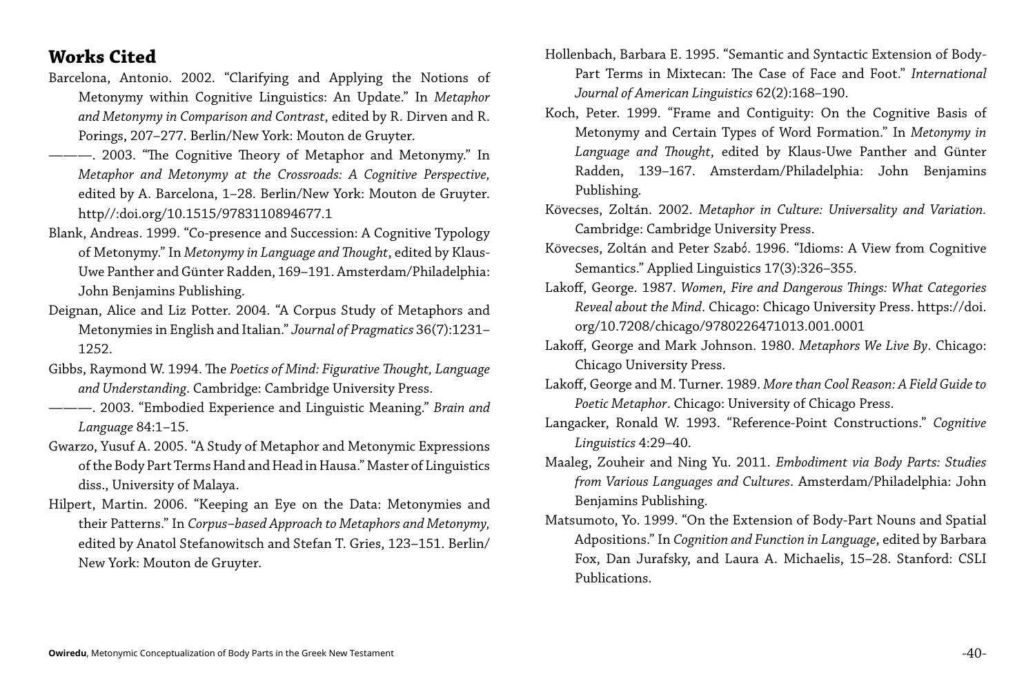### **Works Cited**

- Barcelona, Antonio. 2002. "Clarifying and Applying the Notions of Metonymy within Cognitive Linguistics: An Update." In *Metaphor and Metonymy in Comparison and Contrast*, edited by R. Dirven and R. Porings, 207–277. Berlin/New York: Mouton de Gruyter.
- ———. 2003. "The Cognitive Theory of Metaphor and Metonymy." In *Metaphor and Metonymy at the Crossroads: A Cognitive Perspective,*  edited by A. Barcelona, 1–28. Berlin/New York: Mouton de Gruyter. http//:doi.org/10.1515/9783110894677.1
- Blank, Andreas. 1999. "Co-presence and Succession: A Cognitive Typology of Metonymy." In *Metonymy in Language and Thought*, edited by Klaus-Uwe Panther and Günter Radden, 169–191. Amsterdam/Philadelphia: John Benjamins Publishing.
- Deignan, Alice and Liz Potter. 2004. "A Corpus Study of Metaphors and Metonymies in English and Italian." *Journal of Pragmatics* 36(7):1231– 1252.
- Gibbs, Raymond W. 1994. The *Poetics of Mind: Figurative Thought, Language and Understanding*. Cambridge: Cambridge University Press.
- ———. 2003. "Embodied Experience and Linguistic Meaning." *Brain and Language* 84:1–15.
- Gwarzo, Yusuf A. 2005. "A Study of Metaphor and Metonymic Expressions of the Body Part Terms Hand and Head in Hausa." Master of Linguistics diss., University of Malaya.
- Hilpert, Martin. 2006. "Keeping an Eye on the Data: Metonymies and their Patterns." In *Corpus–based Approach to Metaphors and Metonymy,*  edited by Anatol Stefanowitsch and Stefan T. Gries, 123–151. Berlin/ New York: Mouton de Gruyter.

Hollenbach, Barbara E. 1995. "Semantic and Syntactic Extension of Body-Part Terms in Mixtecan: The Case of Face and Foot." *International Journal of American Linguistics* 62(2):168–190.

Koch, Peter. 1999. "Frame and Contiguity: On the Cognitive Basis of Metonymy and Certain Types of Word Formation." In *Metonymy in Language and Thought*, edited by Klaus-Uwe Panther and Günter Radden, 139–167. Amsterdam/Philadelphia: John Benjamins

Publishing.

Kövecses, Zoltán. 2002. *Metaphor in Culture: Universality and Variation.*  Cambridge: Cambridge University Press.

Kövecses, Zoltán and Peter Szabό. 1996. "Idioms: A View from Cognitive Semantics." Applied Linguistics 17(3):326–355.

Lakoff, George. 1987. *Women, Fire and Dangerous Things: What Categories Reveal about the Mind*. Chicago: Chicago University Press. https://doi.

Lakoff, George and Mark Johnson. 1980. *Metaphors We Live By*. Chicago:

Lakoff, George and M. Turner. 1989. *More than Cool Reason: A Field Guide to Poetic Metaphor*. Chicago: University of Chicago Press.

Langacker, Ronald W. 1993. "Reference-Point Constructions." *Cognitive* 

- org/10.7208/chicago/9780226471013.001.0001
- Chicago University Press.
- 
- *Linguistics* 4:29–40.
- Benjamins Publishing.
- Publications.

Maaleg, Zouheir and Ning Yu. 2011. *Embodiment via Body Parts: Studies from Various Languages and Cultures*. Amsterdam/Philadelphia: John

Matsumoto, Yo. 1999. "On the Extension of Body-Part Nouns and Spatial Adpositions." In *Cognition and Function in Language*, edited by Barbara Fox, Dan Jurafsky, and Laura A. Michaelis, 15–28. Stanford: CSLI